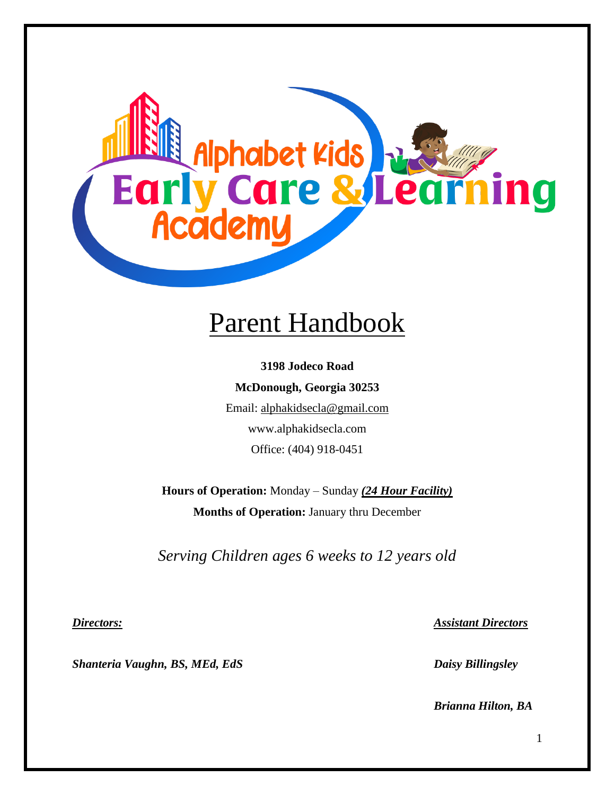

# Parent Handbook

**3198 Jodeco Road McDonough, Georgia 30253** Email: [alphakidsecla@gmail.com](mailto:alphakidsecla@gmail.com) www.alphakidsecla.com Office: (404) 918-0451

**Hours of Operation:** Monday – Sunday *(24 Hour Facility)* **Months of Operation:** January thru December

*Serving Children ages 6 weeks to 12 years old*

*Shanteria Vaughn, BS, MEd, EdS Daisy Billingsley*

*Directors: Assistant Directors*

*Brianna Hilton, BA*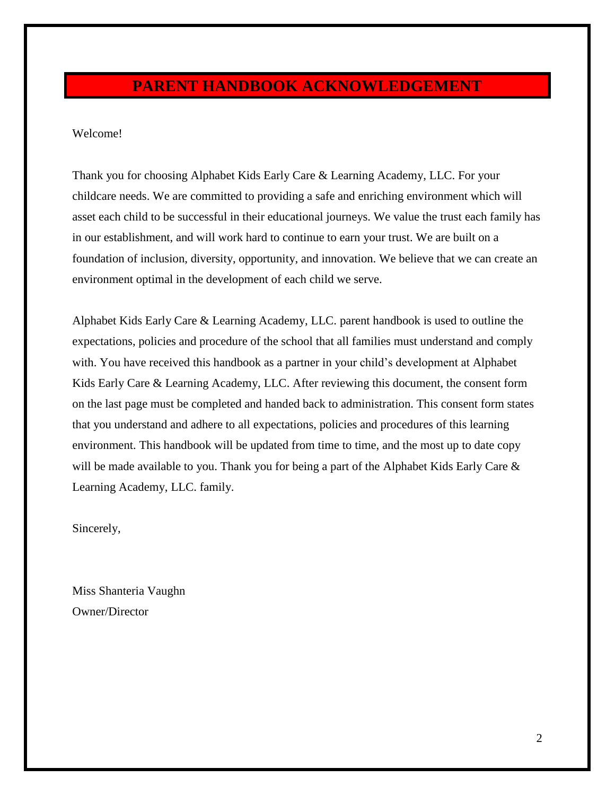# **PARENT HANDBOOK ACKNOWLEDGEMENT**

#### Welcome!

Thank you for choosing Alphabet Kids Early Care & Learning Academy, LLC. For your childcare needs. We are committed to providing a safe and enriching environment which will asset each child to be successful in their educational journeys. We value the trust each family has in our establishment, and will work hard to continue to earn your trust. We are built on a foundation of inclusion, diversity, opportunity, and innovation. We believe that we can create an environment optimal in the development of each child we serve.

Alphabet Kids Early Care & Learning Academy, LLC. parent handbook is used to outline the expectations, policies and procedure of the school that all families must understand and comply with. You have received this handbook as a partner in your child's development at Alphabet Kids Early Care & Learning Academy, LLC. After reviewing this document, the consent form on the last page must be completed and handed back to administration. This consent form states that you understand and adhere to all expectations, policies and procedures of this learning environment. This handbook will be updated from time to time, and the most up to date copy will be made available to you. Thank you for being a part of the Alphabet Kids Early Care & Learning Academy, LLC. family.

Sincerely,

Miss Shanteria Vaughn Owner/Director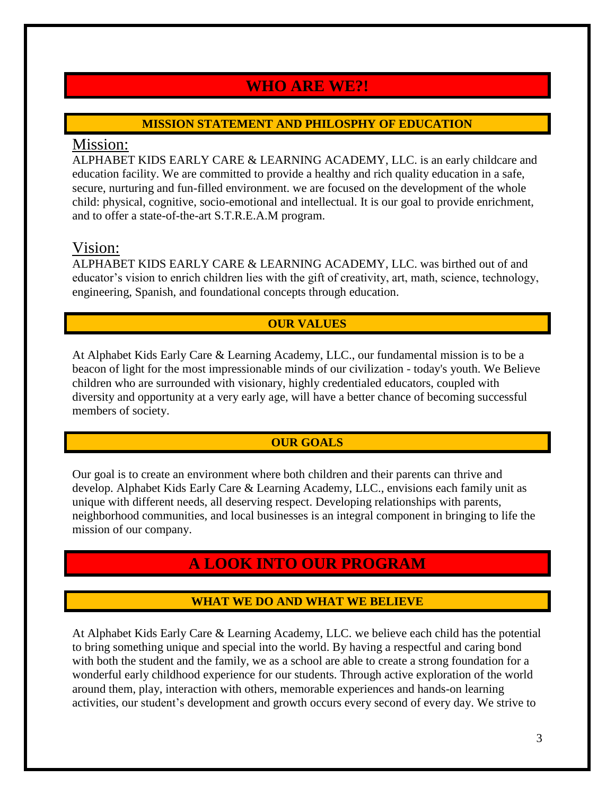# **WHO ARE WE?!**

### **MISSION STATEMENT AND PHILOSPHY OF EDUCATION**

# Mission:

ALPHABET KIDS EARLY CARE & LEARNING ACADEMY, LLC. is an early childcare and education facility. We are committed to provide a healthy and rich quality education in a safe, secure, nurturing and fun-filled environment. we are focused on the development of the whole child: physical, cognitive, socio-emotional and intellectual. It is our goal to provide enrichment, and to offer a state-of-the-art S.T.R.E.A.M program.

# Vision:

ALPHABET KIDS EARLY CARE & LEARNING ACADEMY, LLC. was birthed out of and educator's vision to enrich children lies with the gift of creativity, art, math, science, technology, engineering, Spanish, and foundational concepts through education.

# **OUR VALUES**

At Alphabet Kids Early Care & Learning Academy, LLC., our fundamental mission is to be a beacon of light for the most impressionable minds of our civilization - today's youth. We Believe children who are surrounded with visionary, highly credentialed educators, coupled with diversity and opportunity at a very early age, will have a better chance of becoming successful members of society.

# **OUR GOALS**

Our goal is to create an environment where both children and their parents can thrive and develop. Alphabet Kids Early Care & Learning Academy, LLC., envisions each family unit as unique with different needs, all deserving respect. Developing relationships with parents, neighborhood communities, and local businesses is an integral component in bringing to life the mission of our company.

# **A LOOK INTO OUR PROGRAM**

# **WHAT WE DO AND WHAT WE BELIEVE**

At Alphabet Kids Early Care & Learning Academy, LLC. we believe each child has the potential to bring something unique and special into the world. By having a respectful and caring bond with both the student and the family, we as a school are able to create a strong foundation for a wonderful early childhood experience for our students. Through active exploration of the world around them, play, interaction with others, memorable experiences and hands-on learning activities, our student's development and growth occurs every second of every day. We strive to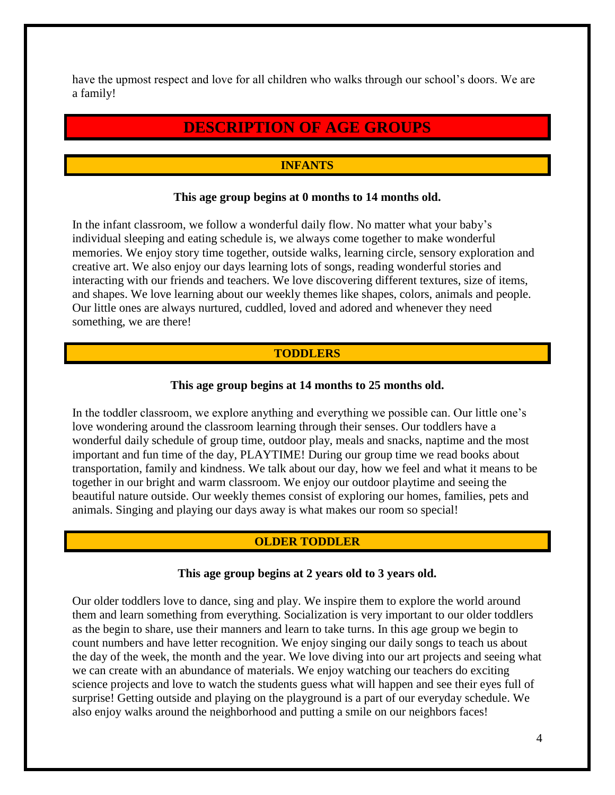have the upmost respect and love for all children who walks through our school's doors. We are a family!

# **DESCRIPTION OF AGE GROUPS**

### **INFANTS**

#### **This age group begins at 0 months to 14 months old.**

In the infant classroom, we follow a wonderful daily flow. No matter what your baby's individual sleeping and eating schedule is, we always come together to make wonderful memories. We enjoy story time together, outside walks, learning circle, sensory exploration and creative art. We also enjoy our days learning lots of songs, reading wonderful stories and interacting with our friends and teachers. We love discovering different textures, size of items, and shapes. We love learning about our weekly themes like shapes, colors, animals and people. Our little ones are always nurtured, cuddled, loved and adored and whenever they need something, we are there!

#### **TODDLERS**

#### **This age group begins at 14 months to 25 months old.**

In the toddler classroom, we explore anything and everything we possible can. Our little one's love wondering around the classroom learning through their senses. Our toddlers have a wonderful daily schedule of group time, outdoor play, meals and snacks, naptime and the most important and fun time of the day, PLAYTIME! During our group time we read books about transportation, family and kindness. We talk about our day, how we feel and what it means to be together in our bright and warm classroom. We enjoy our outdoor playtime and seeing the beautiful nature outside. Our weekly themes consist of exploring our homes, families, pets and animals. Singing and playing our days away is what makes our room so special!

#### **OLDER TODDLER**

#### **This age group begins at 2 years old to 3 years old.**

Our older toddlers love to dance, sing and play. We inspire them to explore the world around them and learn something from everything. Socialization is very important to our older toddlers as the begin to share, use their manners and learn to take turns. In this age group we begin to count numbers and have letter recognition. We enjoy singing our daily songs to teach us about the day of the week, the month and the year. We love diving into our art projects and seeing what we can create with an abundance of materials. We enjoy watching our teachers do exciting science projects and love to watch the students guess what will happen and see their eyes full of surprise! Getting outside and playing on the playground is a part of our everyday schedule. We also enjoy walks around the neighborhood and putting a smile on our neighbors faces!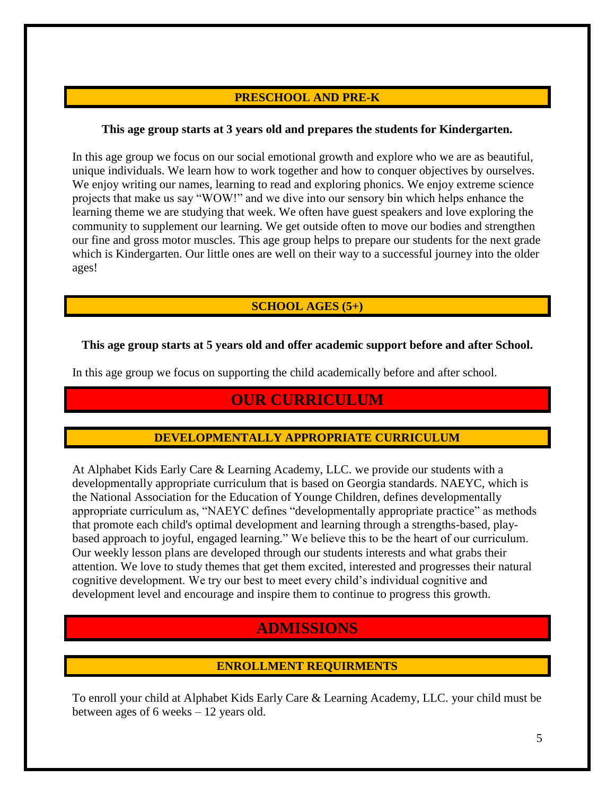### **PRESCHOOL AND PRE-K**

#### **This age group starts at 3 years old and prepares the students for Kindergarten.**

In this age group we focus on our social emotional growth and explore who we are as beautiful, unique individuals. We learn how to work together and how to conquer objectives by ourselves. We enjoy writing our names, learning to read and exploring phonics. We enjoy extreme science projects that make us say "WOW!" and we dive into our sensory bin which helps enhance the learning theme we are studying that week. We often have guest speakers and love exploring the community to supplement our learning. We get outside often to move our bodies and strengthen our fine and gross motor muscles. This age group helps to prepare our students for the next grade which is Kindergarten. Our little ones are well on their way to a successful journey into the older ages!

### **SCHOOL AGES (5+)**

#### **This age group starts at 5 years old and offer academic support before and after School.**

In this age group we focus on supporting the child academically before and after school.

# **OUR CURRICULUM**

#### **DEVELOPMENTALLY APPROPRIATE CURRICULUM**

At Alphabet Kids Early Care & Learning Academy, LLC. we provide our students with a developmentally appropriate curriculum that is based on Georgia standards. NAEYC, which is the National Association for the Education of Younge Children, defines developmentally appropriate curriculum as, "NAEYC defines "developmentally appropriate practice" as methods that promote each child's optimal development and learning through a strengths-based, playbased approach to joyful, engaged learning." We believe this to be the heart of our curriculum. Our weekly lesson plans are developed through our students interests and what grabs their attention. We love to study themes that get them excited, interested and progresses their natural cognitive development. We try our best to meet every child's individual cognitive and development level and encourage and inspire them to continue to progress this growth.

# **ADMISSIONS**

#### **ENROLLMENT REQUIRMENTS**

To enroll your child at Alphabet Kids Early Care & Learning Academy, LLC. your child must be between ages of 6 weeks – 12 years old.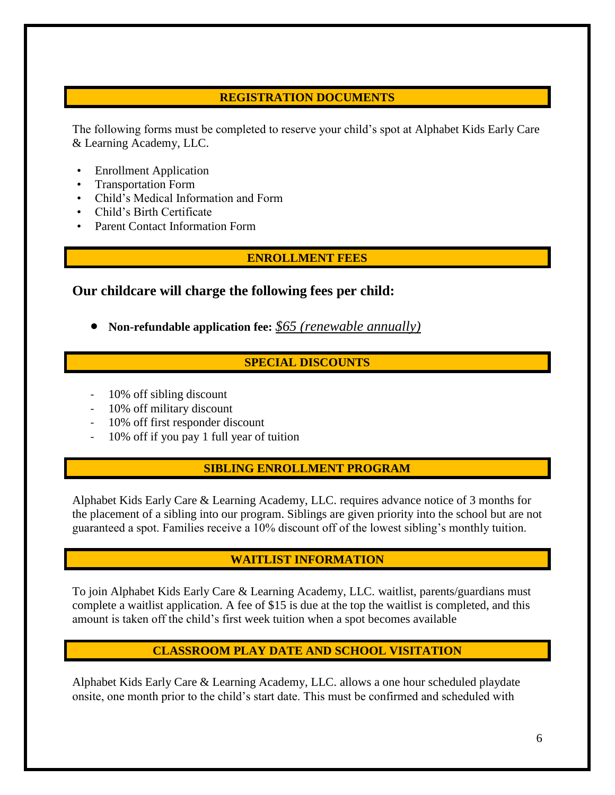### **REGISTRATION DOCUMENTS**

The following forms must be completed to reserve your child's spot at Alphabet Kids Early Care & Learning Academy, LLC.

- **Enrollment Application**
- Transportation Form
- Child's Medical Information and Form
- Child's Birth Certificate
- Parent Contact Information Form

#### **ENROLLMENT FEES**

# **Our childcare will charge the following fees per child:**

• **Non-refundable application fee:** *\$65 (renewable annually)*

### **SPECIAL DISCOUNTS**

- 10% off sibling discount
- 10% off military discount
- 10% off first responder discount
- 10% off if you pay 1 full year of tuition

#### **SIBLING ENROLLMENT PROGRAM**

Alphabet Kids Early Care & Learning Academy, LLC. requires advance notice of 3 months for the placement of a sibling into our program. Siblings are given priority into the school but are not guaranteed a spot. Families receive a 10% discount off of the lowest sibling's monthly tuition.

#### **WAITLIST INFORMATION**

To join Alphabet Kids Early Care & Learning Academy, LLC. waitlist, parents/guardians must complete a waitlist application. A fee of \$15 is due at the top the waitlist is completed, and this amount is taken off the child's first week tuition when a spot becomes available

# **CLASSROOM PLAY DATE AND SCHOOL VISITATION**

Alphabet Kids Early Care & Learning Academy, LLC. allows a one hour scheduled playdate onsite, one month prior to the child's start date. This must be confirmed and scheduled with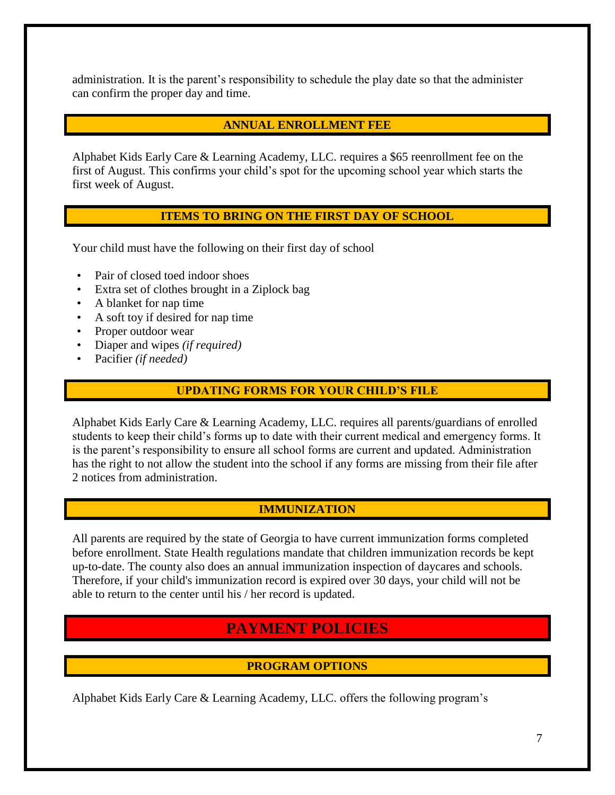administration. It is the parent's responsibility to schedule the play date so that the administer can confirm the proper day and time.

#### **ANNUAL ENROLLMENT FEE**

Alphabet Kids Early Care & Learning Academy, LLC. requires a \$65 reenrollment fee on the first of August. This confirms your child's spot for the upcoming school year which starts the first week of August.

#### **ITEMS TO BRING ON THE FIRST DAY OF SCHOOL**

Your child must have the following on their first day of school

- Pair of closed toed indoor shoes
- Extra set of clothes brought in a Ziplock bag
- A blanket for nap time
- A soft toy if desired for nap time
- Proper outdoor wear
- Diaper and wipes *(if required)*
- Pacifier *(if needed)*

#### **UPDATING FORMS FOR YOUR CHILD'S FILE**

Alphabet Kids Early Care & Learning Academy, LLC. requires all parents/guardians of enrolled students to keep their child's forms up to date with their current medical and emergency forms. It is the parent's responsibility to ensure all school forms are current and updated. Administration has the right to not allow the student into the school if any forms are missing from their file after 2 notices from administration.

#### **IMMUNIZATION**

All parents are required by the state of Georgia to have current immunization forms completed before enrollment. State Health regulations mandate that children immunization records be kept up-to-date. The county also does an annual immunization inspection of daycares and schools. Therefore, if your child's immunization record is expired over 30 days, your child will not be able to return to the center until his / her record is updated.

# **PAYMENT POLICIES**

#### **PROGRAM OPTIONS**

Alphabet Kids Early Care & Learning Academy, LLC. offers the following program's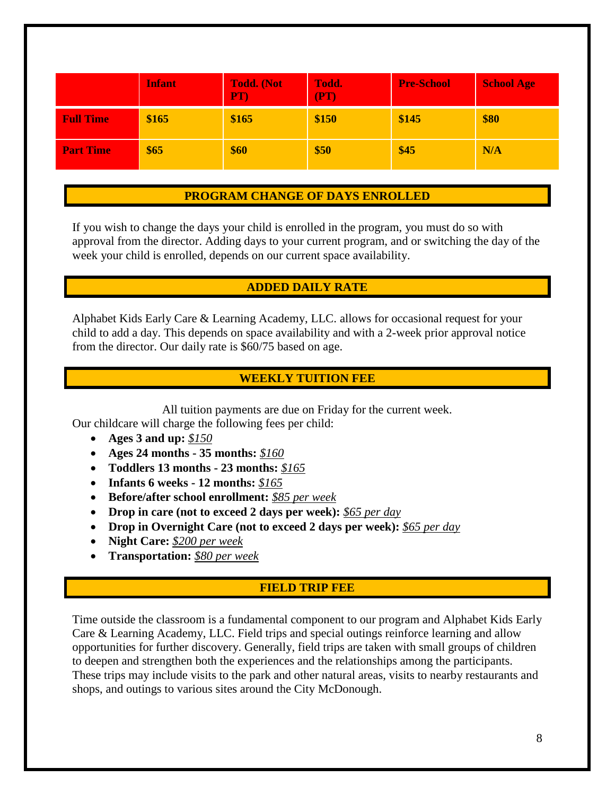|                  | <b>Infant</b> | <b>Todd.</b> (Not<br>PT) | Todd.<br>(PT) | <b>Pre-School</b> | <b>School Age</b> |
|------------------|---------------|--------------------------|---------------|-------------------|-------------------|
| <b>Full Time</b> | \$165         | \$165                    | \$150         | \$145             | \$80              |
| <b>Part Time</b> | \$65          | \$60                     | \$50          | \$45              | N/A               |

#### **PROGRAM CHANGE OF DAYS ENROLLED**

If you wish to change the days your child is enrolled in the program, you must do so with approval from the director. Adding days to your current program, and or switching the day of the week your child is enrolled, depends on our current space availability.

#### **ADDED DAILY RATE**

Alphabet Kids Early Care & Learning Academy, LLC. allows for occasional request for your child to add a day. This depends on space availability and with a 2-week prior approval notice from the director. Our daily rate is \$60/75 based on age.

#### **WEEKLY TUITION FEE**

All tuition payments are due on Friday for the current week. Our childcare will charge the following fees per child:

- **Ages 3 and up:** *\$150*
- **Ages 24 months - 35 months:** *\$160*
- **Toddlers 13 months - 23 months:** *\$165*
- **Infants 6 weeks - 12 months:** *\$165*
- **Before/after school enrollment:** *\$85 per week*
- **Drop in care (not to exceed 2 days per week):** *\$65 per day*
- **Drop in Overnight Care (not to exceed 2 days per week):** *\$65 per day*
- **Night Care:** *\$200 per week*
- **Transportation:** *\$80 per week*

#### **FIELD TRIP FEE**

Time outside the classroom is a fundamental component to our program and Alphabet Kids Early Care & Learning Academy, LLC. Field trips and special outings reinforce learning and allow opportunities for further discovery. Generally, field trips are taken with small groups of children to deepen and strengthen both the experiences and the relationships among the participants. These trips may include visits to the park and other natural areas, visits to nearby restaurants and shops, and outings to various sites around the City McDonough.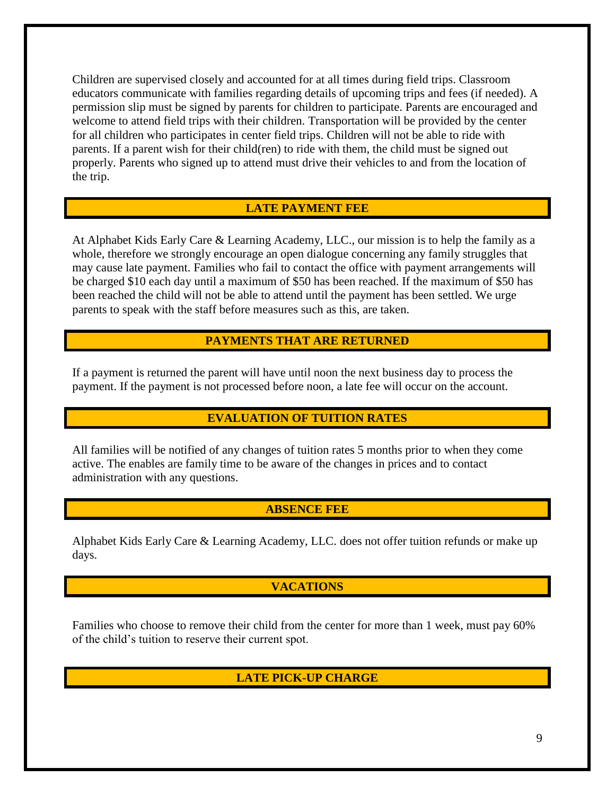Children are supervised closely and accounted for at all times during field trips. Classroom educators communicate with families regarding details of upcoming trips and fees (if needed). A permission slip must be signed by parents for children to participate. Parents are encouraged and welcome to attend field trips with their children. Transportation will be provided by the center for all children who participates in center field trips. Children will not be able to ride with parents. If a parent wish for their child(ren) to ride with them, the child must be signed out properly. Parents who signed up to attend must drive their vehicles to and from the location of the trip.

#### **LATE PAYMENT FEE**

At Alphabet Kids Early Care & Learning Academy, LLC., our mission is to help the family as a whole, therefore we strongly encourage an open dialogue concerning any family struggles that may cause late payment. Families who fail to contact the office with payment arrangements will be charged \$10 each day until a maximum of \$50 has been reached. If the maximum of \$50 has been reached the child will not be able to attend until the payment has been settled. We urge parents to speak with the staff before measures such as this, are taken.

#### **PAYMENTS THAT ARE RETURNED**

If a payment is returned the parent will have until noon the next business day to process the payment. If the payment is not processed before noon, a late fee will occur on the account.

#### **EVALUATION OF TUITION RATES**

All families will be notified of any changes of tuition rates 5 months prior to when they come active. The enables are family time to be aware of the changes in prices and to contact administration with any questions.

#### **ABSENCE FEE**

Alphabet Kids Early Care & Learning Academy, LLC. does not offer tuition refunds or make up days.

#### **VACATIONS**

Families who choose to remove their child from the center for more than 1 week, must pay 60% of the child's tuition to reserve their current spot.

#### **LATE PICK-UP CHARGE**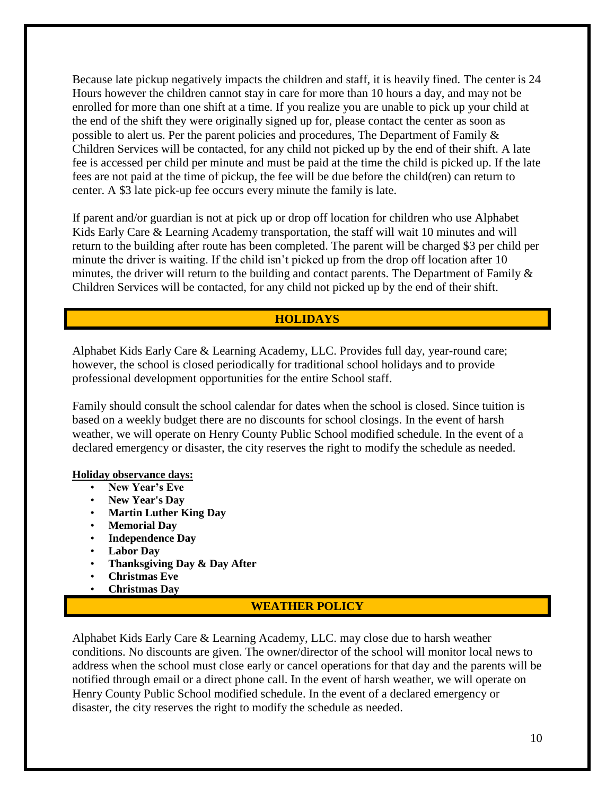Because late pickup negatively impacts the children and staff, it is heavily fined. The center is 24 Hours however the children cannot stay in care for more than 10 hours a day, and may not be enrolled for more than one shift at a time. If you realize you are unable to pick up your child at the end of the shift they were originally signed up for, please contact the center as soon as possible to alert us. Per the parent policies and procedures, The Department of Family  $\&$ Children Services will be contacted, for any child not picked up by the end of their shift. A late fee is accessed per child per minute and must be paid at the time the child is picked up. If the late fees are not paid at the time of pickup, the fee will be due before the child(ren) can return to center. A \$3 late pick-up fee occurs every minute the family is late.

If parent and/or guardian is not at pick up or drop off location for children who use Alphabet Kids Early Care & Learning Academy transportation, the staff will wait 10 minutes and will return to the building after route has been completed. The parent will be charged \$3 per child per minute the driver is waiting. If the child isn't picked up from the drop off location after 10 minutes, the driver will return to the building and contact parents. The Department of Family  $\&$ Children Services will be contacted, for any child not picked up by the end of their shift.

#### **HOLIDAYS**

Alphabet Kids Early Care & Learning Academy, LLC. Provides full day, year-round care; however, the school is closed periodically for traditional school holidays and to provide professional development opportunities for the entire School staff.

Family should consult the school calendar for dates when the school is closed. Since tuition is based on a weekly budget there are no discounts for school closings. In the event of harsh weather, we will operate on Henry County Public School modified schedule. In the event of a declared emergency or disaster, the city reserves the right to modify the schedule as needed.

#### **Holiday observance days:**

- **New Year's Eve**
- **New Year's Day**
- **Martin Luther King Day**
- **Memorial Day**
- **Independence Day**
- **Labor Day**
- **Thanksgiving Day & Day After**
- **Christmas Eve**
- **Christmas Day**

#### **WEATHER POLICY**

Alphabet Kids Early Care & Learning Academy, LLC. may close due to harsh weather conditions. No discounts are given. The owner/director of the school will monitor local news to address when the school must close early or cancel operations for that day and the parents will be notified through email or a direct phone call. In the event of harsh weather, we will operate on Henry County Public School modified schedule. In the event of a declared emergency or disaster, the city reserves the right to modify the schedule as needed.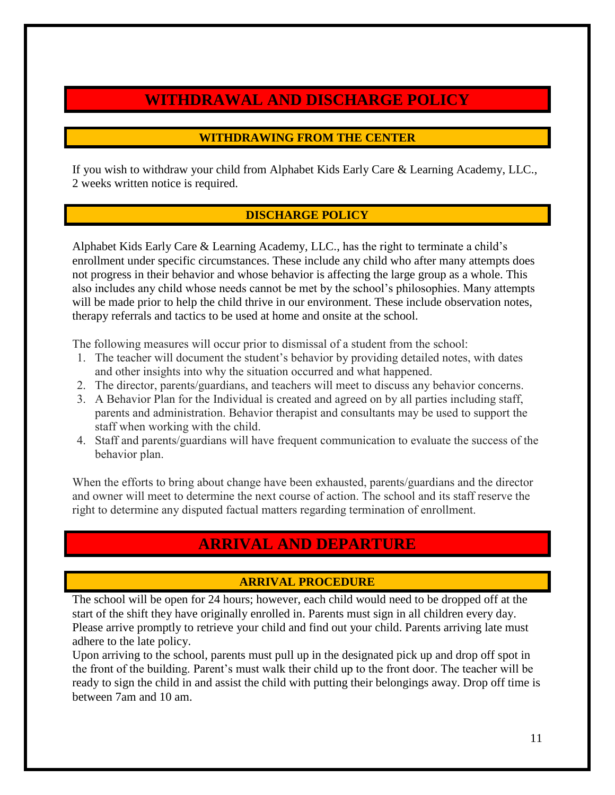# **WITHDRAWAL AND DISCHARGE POLICY**

### **WITHDRAWING FROM THE CENTER**

If you wish to withdraw your child from Alphabet Kids Early Care & Learning Academy, LLC., 2 weeks written notice is required.

# **DISCHARGE POLICY**

Alphabet Kids Early Care & Learning Academy, LLC., has the right to terminate a child's enrollment under specific circumstances. These include any child who after many attempts does not progress in their behavior and whose behavior is affecting the large group as a whole. This also includes any child whose needs cannot be met by the school's philosophies. Many attempts will be made prior to help the child thrive in our environment. These include observation notes, therapy referrals and tactics to be used at home and onsite at the school.

The following measures will occur prior to dismissal of a student from the school:

- 1. The teacher will document the student's behavior by providing detailed notes, with dates and other insights into why the situation occurred and what happened.
- 2. The director, parents/guardians, and teachers will meet to discuss any behavior concerns.
- 3. A Behavior Plan for the Individual is created and agreed on by all parties including staff, parents and administration. Behavior therapist and consultants may be used to support the staff when working with the child.
- 4. Staff and parents/guardians will have frequent communication to evaluate the success of the behavior plan.

When the efforts to bring about change have been exhausted, parents/guardians and the director and owner will meet to determine the next course of action. The school and its staff reserve the right to determine any disputed factual matters regarding termination of enrollment.

# **ARRIVAL AND DEPARTURE**

# **ARRIVAL PROCEDURE**

The school will be open for 24 hours; however, each child would need to be dropped off at the start of the shift they have originally enrolled in. Parents must sign in all children every day. Please arrive promptly to retrieve your child and find out your child. Parents arriving late must adhere to the late policy.

Upon arriving to the school, parents must pull up in the designated pick up and drop off spot in the front of the building. Parent's must walk their child up to the front door. The teacher will be ready to sign the child in and assist the child with putting their belongings away. Drop off time is between 7am and 10 am.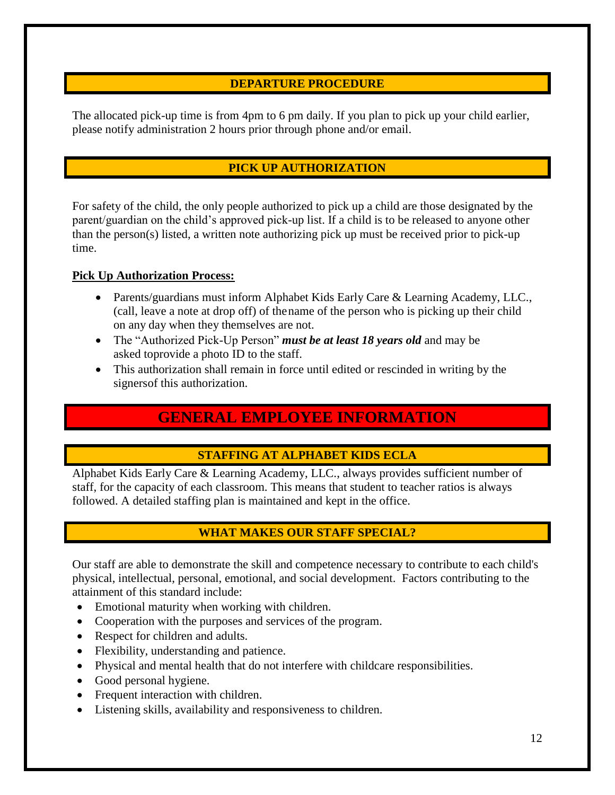### **DEPARTURE PROCEDURE**

The allocated pick-up time is from 4pm to 6 pm daily. If you plan to pick up your child earlier, please notify administration 2 hours prior through phone and/or email.

# **PICK UP AUTHORIZATION**

For safety of the child, the only people authorized to pick up a child are those designated by the parent/guardian on the child's approved pick-up list. If a child is to be released to anyone other than the person(s) listed, a written note authorizing pick up must be received prior to pick-up time.

#### **Pick Up Authorization Process:**

- Parents/guardians must inform Alphabet Kids Early Care & Learning Academy, LLC., (call, leave a note at drop off) of the name of the person who is picking up their child on any day when they themselves are not.
- The "Authorized Pick-Up Person" *must be at least 18 years old* and may be asked toprovide a photo ID to the staff.
- This authorization shall remain in force until edited or rescinded in writing by the signersof this authorization.

# **GENERAL EMPLOYEE INFORMATION**

#### **STAFFING AT ALPHABET KIDS ECLA**

Alphabet Kids Early Care & Learning Academy, LLC., always provides sufficient number of staff, for the capacity of each classroom. This means that student to teacher ratios is always followed. A detailed staffing plan is maintained and kept in the office.

# **WHAT MAKES OUR STAFF SPECIAL?**

Our staff are able to demonstrate the skill and competence necessary to contribute to each child's physical, intellectual, personal, emotional, and social development. Factors contributing to the attainment of this standard include:

- Emotional maturity when working with children.
- Cooperation with the purposes and services of the program.
- Respect for children and adults.
- Flexibility, understanding and patience.
- Physical and mental health that do not interfere with childcare responsibilities.
- Good personal hygiene.
- Frequent interaction with children.
- Listening skills, availability and responsiveness to children.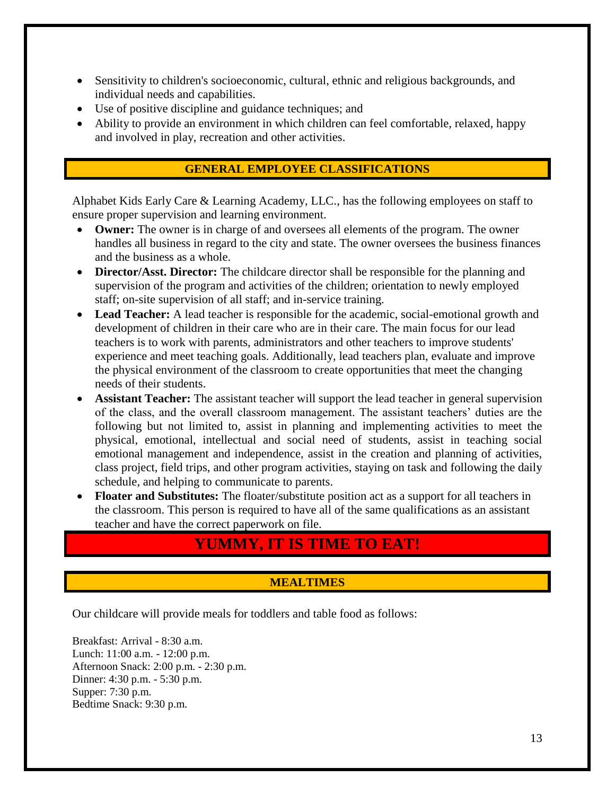- Sensitivity to children's socioeconomic, cultural, ethnic and religious backgrounds, and individual needs and capabilities.
- Use of positive discipline and guidance techniques; and
- Ability to provide an environment in which children can feel comfortable, relaxed, happy and involved in play, recreation and other activities.

#### **GENERAL EMPLOYEE CLASSIFICATIONS**

Alphabet Kids Early Care & Learning Academy, LLC., has the following employees on staff to ensure proper supervision and learning environment.

- **Owner:** The owner is in charge of and oversees all elements of the program. The owner handles all business in regard to the city and state. The owner oversees the business finances and the business as a whole.
- **Director/Asst. Director:** The childcare director shall be responsible for the planning and supervision of the program and activities of the children; orientation to newly employed staff; on-site supervision of all staff; and in-service training.
- **Lead Teacher:** A lead teacher is responsible for the academic, social-emotional growth and development of children in their care who are in their care. The main focus for our lead teachers is to work with parents, administrators and other teachers to improve students' experience and meet teaching goals. Additionally, lead teachers plan, evaluate and improve the physical environment of the classroom to create opportunities that meet the changing needs of their students.
- **Assistant Teacher:** The assistant teacher will support the lead teacher in general supervision of the class, and the overall classroom management. The assistant teachers' duties are the following but not limited to, assist in planning and implementing activities to meet the physical, emotional, intellectual and social need of students, assist in teaching social emotional management and independence, assist in the creation and planning of activities, class project, field trips, and other program activities, staying on task and following the daily schedule, and helping to communicate to parents.
- **Floater and Substitutes:** The floater/substitute position act as a support for all teachers in the classroom. This person is required to have all of the same qualifications as an assistant teacher and have the correct paperwork on file.

# **YUMMY, IT IS TIME TO EAT!**

# **MEALTIMES**

Our childcare will provide meals for toddlers and table food as follows:

Breakfast: Arrival - 8:30 a.m. Lunch: 11:00 a.m. - 12:00 p.m. Afternoon Snack: 2:00 p.m. - 2:30 p.m. Dinner: 4:30 p.m. - 5:30 p.m. Supper: 7:30 p.m. Bedtime Snack: 9:30 p.m.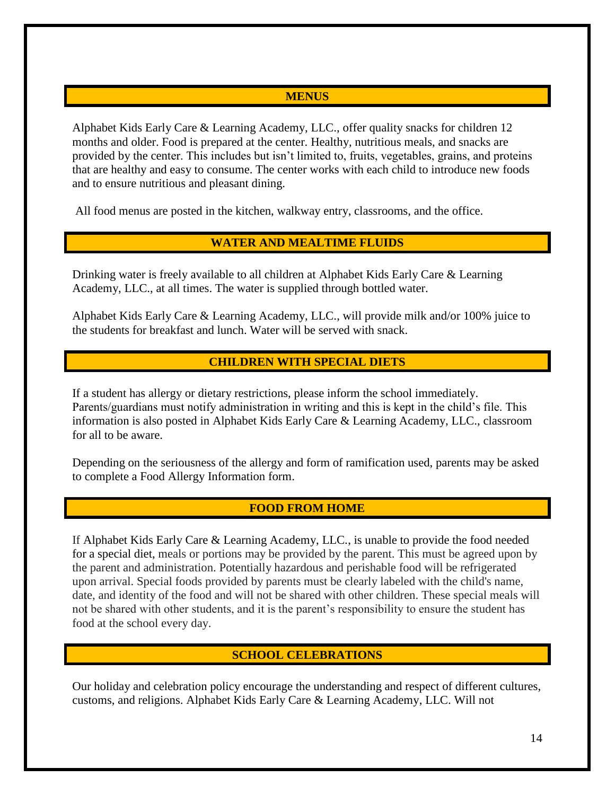#### **MENUS**

Alphabet Kids Early Care & Learning Academy, LLC., offer quality snacks for children 12 months and older. Food is prepared at the center. Healthy, nutritious meals, and snacks are provided by the center. This includes but isn't limited to, fruits, vegetables, grains, and proteins that are healthy and easy to consume. The center works with each child to introduce new foods and to ensure nutritious and pleasant dining.

All food menus are posted in the kitchen, walkway entry, classrooms, and the office.

### **WATER AND MEALTIME FLUIDS**

Drinking water is freely available to all children at Alphabet Kids Early Care & Learning Academy, LLC., at all times. The water is supplied through bottled water.

Alphabet Kids Early Care & Learning Academy, LLC., will provide milk and/or 100% juice to the students for breakfast and lunch. Water will be served with snack.

#### **CHILDREN WITH SPECIAL DIETS**

If a student has allergy or dietary restrictions, please inform the school immediately. Parents/guardians must notify administration in writing and this is kept in the child's file. This information is also posted in Alphabet Kids Early Care & Learning Academy, LLC., classroom for all to be aware.

Depending on the seriousness of the allergy and form of ramification used, parents may be asked to complete a Food Allergy Information form.

#### **FOOD FROM HOME**

If Alphabet Kids Early Care & Learning Academy, LLC., is unable to provide the food needed for a special diet, meals or portions may be provided by the parent. This must be agreed upon by the parent and administration. Potentially hazardous and perishable food will be refrigerated upon arrival. Special foods provided by parents must be clearly labeled with the child's name, date, and identity of the food and will not be shared with other children. These special meals will not be shared with other students, and it is the parent's responsibility to ensure the student has food at the school every day.

#### **SCHOOL CELEBRATIONS**

Our holiday and celebration policy encourage the understanding and respect of different cultures, customs, and religions. Alphabet Kids Early Care & Learning Academy, LLC. Will not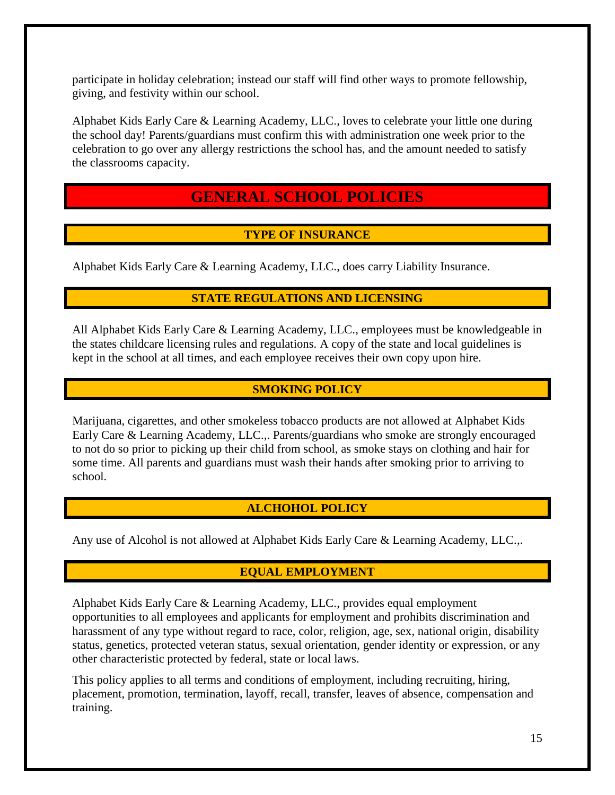participate in holiday celebration; instead our staff will find other ways to promote fellowship, giving, and festivity within our school.

Alphabet Kids Early Care & Learning Academy, LLC., loves to celebrate your little one during the school day! Parents/guardians must confirm this with administration one week prior to the celebration to go over any allergy restrictions the school has, and the amount needed to satisfy the classrooms capacity.

# **GENERAL SCHOOL POLICIES**

# **TYPE OF INSURANCE**

Alphabet Kids Early Care & Learning Academy, LLC., does carry Liability Insurance.

# **STATE REGULATIONS AND LICENSING**

All Alphabet Kids Early Care & Learning Academy, LLC., employees must be knowledgeable in the states childcare licensing rules and regulations. A copy of the state and local guidelines is kept in the school at all times, and each employee receives their own copy upon hire.

# **SMOKING POLICY**

Marijuana, cigarettes, and other smokeless tobacco products are not allowed at Alphabet Kids Early Care & Learning Academy, LLC.,. Parents/guardians who smoke are strongly encouraged to not do so prior to picking up their child from school, as smoke stays on clothing and hair for some time. All parents and guardians must wash their hands after smoking prior to arriving to school.

# **ALCHOHOL POLICY**

Any use of Alcohol is not allowed at Alphabet Kids Early Care & Learning Academy, LLC.,.

# **EQUAL EMPLOYMENT**

Alphabet Kids Early Care & Learning Academy, LLC., provides equal employment opportunities to all employees and applicants for employment and prohibits discrimination and harassment of any type without regard to race, color, religion, age, sex, national origin, disability status, genetics, protected veteran status, sexual orientation, gender identity or expression, or any other characteristic protected by federal, state or local laws.

This policy applies to all terms and conditions of employment, including recruiting, hiring, placement, promotion, termination, layoff, recall, transfer, leaves of absence, compensation and training.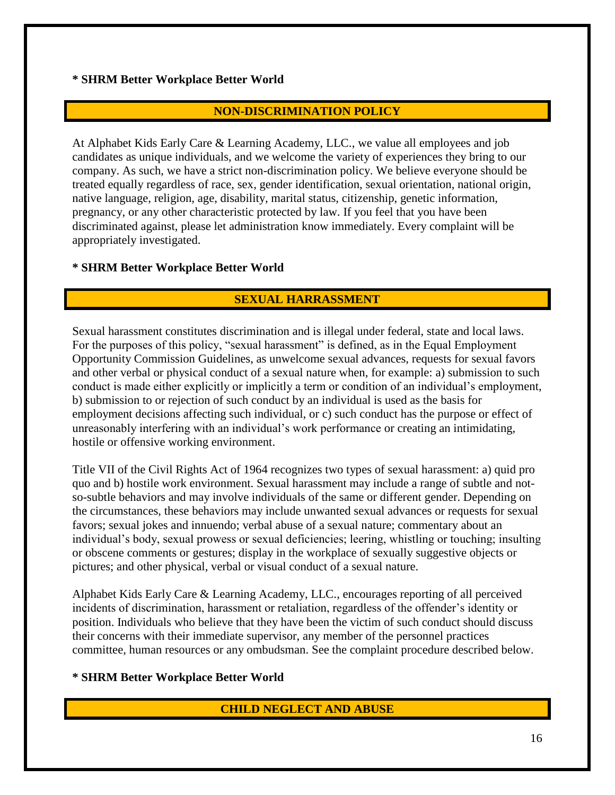#### **\* SHRM Better Workplace Better World**

### **NON-DISCRIMINATION POLICY**

At Alphabet Kids Early Care & Learning Academy, LLC., we value all employees and job candidates as unique individuals, and we welcome the variety of experiences they bring to our company. As such, we have a strict non-discrimination policy. We believe everyone should be treated equally regardless of race, sex, gender identification, sexual orientation, national origin, native language, religion, age, disability, marital status, citizenship, genetic information, pregnancy, or any other characteristic protected by law. If you feel that you have been discriminated against, please let administration know immediately. Every complaint will be appropriately investigated.

#### **\* SHRM Better Workplace Better World**

### **SEXUAL HARRASSMENT**

Sexual harassment constitutes discrimination and is illegal under federal, state and local laws. For the purposes of this policy, "sexual harassment" is defined, as in the Equal Employment Opportunity Commission Guidelines, as unwelcome sexual advances, requests for sexual favors and other verbal or physical conduct of a sexual nature when, for example: a) submission to such conduct is made either explicitly or implicitly a term or condition of an individual's employment, b) submission to or rejection of such conduct by an individual is used as the basis for employment decisions affecting such individual, or c) such conduct has the purpose or effect of unreasonably interfering with an individual's work performance or creating an intimidating, hostile or offensive working environment.

Title VII of the Civil Rights Act of 1964 recognizes two types of sexual harassment: a) quid pro quo and b) hostile work environment. Sexual harassment may include a range of subtle and notso-subtle behaviors and may involve individuals of the same or different gender. Depending on the circumstances, these behaviors may include unwanted sexual advances or requests for sexual favors; sexual jokes and innuendo; verbal abuse of a sexual nature; commentary about an individual's body, sexual prowess or sexual deficiencies; leering, whistling or touching; insulting or obscene comments or gestures; display in the workplace of sexually suggestive objects or pictures; and other physical, verbal or visual conduct of a sexual nature.

Alphabet Kids Early Care & Learning Academy, LLC., encourages reporting of all perceived incidents of discrimination, harassment or retaliation, regardless of the offender's identity or position. Individuals who believe that they have been the victim of such conduct should discuss their concerns with their immediate supervisor, any member of the personnel practices committee, human resources or any ombudsman. See the complaint procedure described below.

#### **\* SHRM Better Workplace Better World**

#### **CHILD NEGLECT AND ABUSE**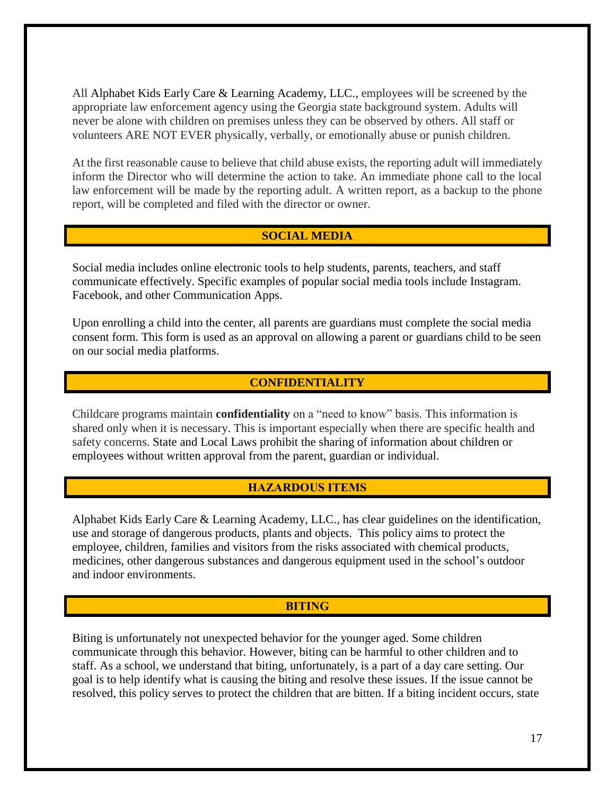All Alphabet Kids Early Care & Learning Academy, LLC., employees will be screened by the appropriate law enforcement agency using the Georgia state background system. Adults will never be alone with children on premises unless they can be observed by others. All staff or volunteers ARE NOT EVER physically, verbally, or emotionally abuse or punish children.

At the first reasonable cause to believe that child abuse exists, the reporting adult will immediately inform the Director who will determine the action to take. An immediate phone call to the local law enforcement will be made by the reporting adult. A written report, as a backup to the phone report, will be completed and filed with the director or owner.

#### **SOCIAL MEDIA**

Social media includes online electronic tools to help students, parents, teachers, and staff communicate effectively. Specific examples of popular social media tools include Instagram. Facebook, and other Communication Apps.

Upon enrolling a child into the center, all parents are guardians must complete the social media consent form. This form is used as an approval on allowing a parent or guardians child to be seen on our social media platforms.

#### **CONFIDENTIALITY**

Childcare programs maintain **confidentiality** on a "need to know" basis. This information is shared only when it is necessary. This is important especially when there are specific health and safety concerns. State and Local Laws prohibit the sharing of information about children or employees without written approval from the parent, guardian or individual.

#### **HAZARDOUS ITEMS**

Alphabet Kids Early Care & Learning Academy, LLC., has clear guidelines on the identification, use and storage of dangerous products, plants and objects. This policy aims to protect the employee, children, families and visitors from the risks associated with chemical products, medicines, other dangerous substances and dangerous equipment used in the school's outdoor and indoor environments.

#### **BITING**

Biting is unfortunately not unexpected behavior for the younger aged. Some children communicate through this behavior. However, biting can be harmful to other children and to staff. As a school, we understand that biting, unfortunately, is a part of a day care setting. Our goal is to help identify what is causing the biting and resolve these issues. If the issue cannot be resolved, this policy serves to protect the children that are bitten. If a biting incident occurs, state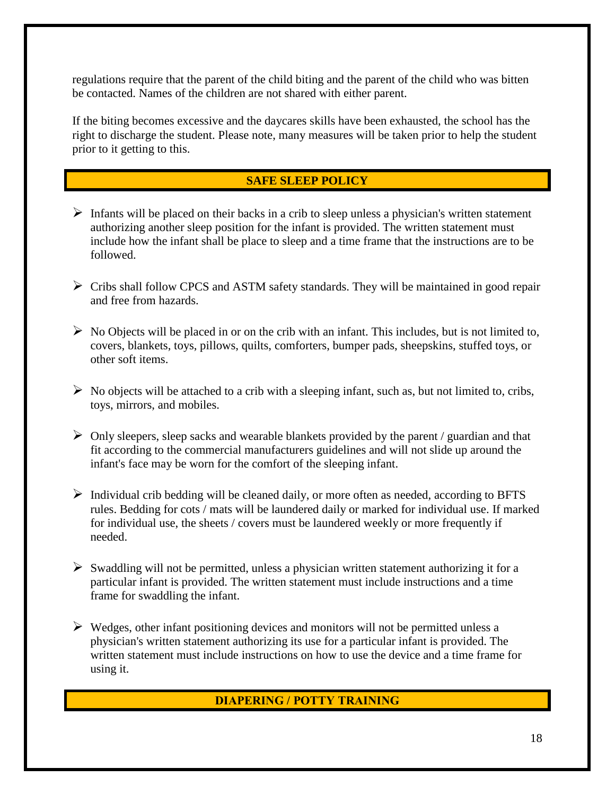regulations require that the parent of the child biting and the parent of the child who was bitten be contacted. Names of the children are not shared with either parent.

If the biting becomes excessive and the daycares skills have been exhausted, the school has the right to discharge the student. Please note, many measures will be taken prior to help the student prior to it getting to this.

### **SAFE SLEEP POLICY**

- $\triangleright$  Infants will be placed on their backs in a crib to sleep unless a physician's written statement authorizing another sleep position for the infant is provided. The written statement must include how the infant shall be place to sleep and a time frame that the instructions are to be followed.
- $\triangleright$  Cribs shall follow CPCS and ASTM safety standards. They will be maintained in good repair and free from hazards.
- $\triangleright$  No Objects will be placed in or on the crib with an infant. This includes, but is not limited to, covers, blankets, toys, pillows, quilts, comforters, bumper pads, sheepskins, stuffed toys, or other soft items.
- $\triangleright$  No objects will be attached to a crib with a sleeping infant, such as, but not limited to, cribs, toys, mirrors, and mobiles.
- $\triangleright$  Only sleepers, sleep sacks and wearable blankets provided by the parent / guardian and that fit according to the commercial manufacturers guidelines and will not slide up around the infant's face may be worn for the comfort of the sleeping infant.
- ➢ Individual crib bedding will be cleaned daily, or more often as needed, according to BFTS rules. Bedding for cots / mats will be laundered daily or marked for individual use. If marked for individual use, the sheets / covers must be laundered weekly or more frequently if needed.
- $\triangleright$  Swaddling will not be permitted, unless a physician written statement authorizing it for a particular infant is provided. The written statement must include instructions and a time frame for swaddling the infant.
- $\triangleright$  Wedges, other infant positioning devices and monitors will not be permitted unless a physician's written statement authorizing its use for a particular infant is provided. The written statement must include instructions on how to use the device and a time frame for using it.

#### **DIAPERING / POTTY TRAINING**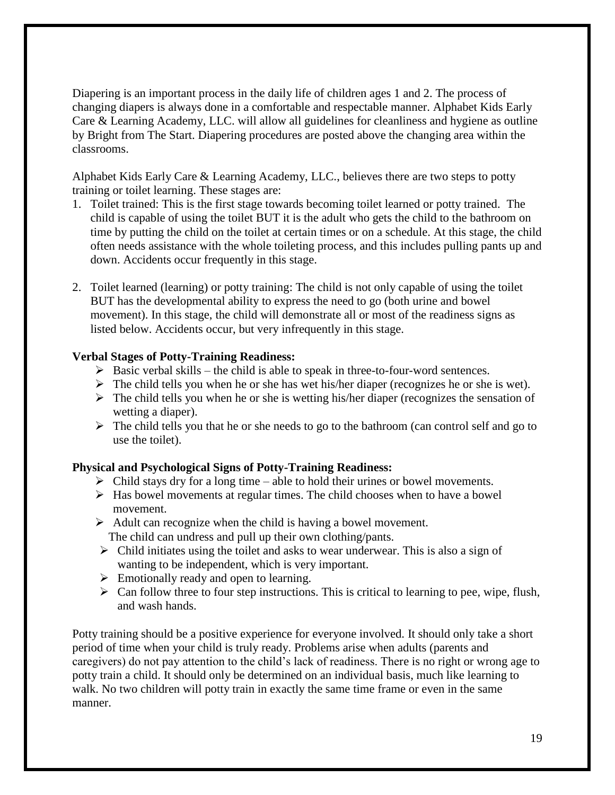Diapering is an important process in the daily life of children ages 1 and 2. The process of changing diapers is always done in a comfortable and respectable manner. Alphabet Kids Early Care & Learning Academy, LLC. will allow all guidelines for cleanliness and hygiene as outline by Bright from The Start. Diapering procedures are posted above the changing area within the classrooms.

Alphabet Kids Early Care & Learning Academy, LLC., believes there are two steps to potty training or toilet learning. These stages are:

- 1. Toilet trained: This is the first stage towards becoming toilet learned or potty trained. The child is capable of using the toilet BUT it is the adult who gets the child to the bathroom on time by putting the child on the toilet at certain times or on a schedule. At this stage, the child often needs assistance with the whole toileting process, and this includes pulling pants up and down. Accidents occur frequently in this stage.
- 2. Toilet learned (learning) or potty training: The child is not only capable of using the toilet BUT has the developmental ability to express the need to go (both urine and bowel movement). In this stage, the child will demonstrate all or most of the readiness signs as listed below. Accidents occur, but very infrequently in this stage.

#### **Verbal Stages of Potty-Training Readiness:**

- $\triangleright$  Basic verbal skills the child is able to speak in three-to-four-word sentences.
- $\triangleright$  The child tells you when he or she has wet his/her diaper (recognizes he or she is wet).
- $\triangleright$  The child tells you when he or she is wetting his/her diaper (recognizes the sensation of wetting a diaper).
- ➢ The child tells you that he or she needs to go to the bathroom (can control self and go to use the toilet).

#### **Physical and Psychological Signs of Potty-Training Readiness:**

- $\triangleright$  Child stays dry for a long time able to hold their urines or bowel movements.
- ➢ Has bowel movements at regular times. The child chooses when to have a bowel movement.
- $\triangleright$  Adult can recognize when the child is having a bowel movement. The child can undress and pull up their own clothing/pants.
- $\triangleright$  Child initiates using the toilet and asks to wear underwear. This is also a sign of wanting to be independent, which is very important.
- $\triangleright$  Emotionally ready and open to learning.
- $\triangleright$  Can follow three to four step instructions. This is critical to learning to pee, wipe, flush, and wash hands.

Potty training should be a positive experience for everyone involved. It should only take a short period of time when your child is truly ready. Problems arise when adults (parents and caregivers) do not pay attention to the child's lack of readiness. There is no right or wrong age to potty train a child. It should only be determined on an individual basis, much like learning to walk. No two children will potty train in exactly the same time frame or even in the same manner.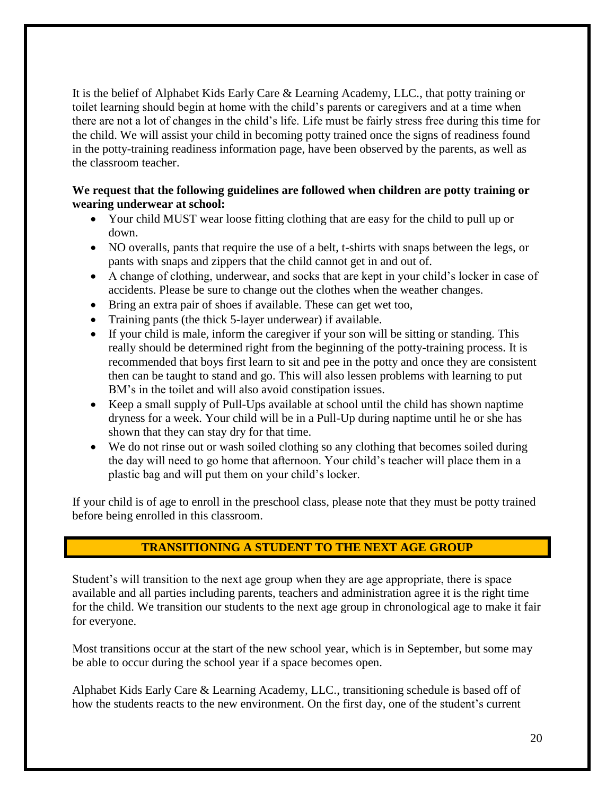It is the belief of Alphabet Kids Early Care & Learning Academy, LLC., that potty training or toilet learning should begin at home with the child's parents or caregivers and at a time when there are not a lot of changes in the child's life. Life must be fairly stress free during this time for the child. We will assist your child in becoming potty trained once the signs of readiness found in the potty-training readiness information page, have been observed by the parents, as well as the classroom teacher.

#### **We request that the following guidelines are followed when children are potty training or wearing underwear at school:**

- Your child MUST wear loose fitting clothing that are easy for the child to pull up or down.
- NO overalls, pants that require the use of a belt, t-shirts with snaps between the legs, or pants with snaps and zippers that the child cannot get in and out of.
- A change of clothing, underwear, and socks that are kept in your child's locker in case of accidents. Please be sure to change out the clothes when the weather changes.
- Bring an extra pair of shoes if available. These can get wet too,
- Training pants (the thick 5-layer underwear) if available.
- If your child is male, inform the caregiver if your son will be sitting or standing. This really should be determined right from the beginning of the potty-training process. It is recommended that boys first learn to sit and pee in the potty and once they are consistent then can be taught to stand and go. This will also lessen problems with learning to put BM's in the toilet and will also avoid constipation issues.
- Keep a small supply of Pull-Ups available at school until the child has shown naptime dryness for a week. Your child will be in a Pull-Up during naptime until he or she has shown that they can stay dry for that time.
- We do not rinse out or wash soiled clothing so any clothing that becomes soiled during the day will need to go home that afternoon. Your child's teacher will place them in a plastic bag and will put them on your child's locker.

If your child is of age to enroll in the preschool class, please note that they must be potty trained before being enrolled in this classroom.

# **TRANSITIONING A STUDENT TO THE NEXT AGE GROUP**

Student's will transition to the next age group when they are age appropriate, there is space available and all parties including parents, teachers and administration agree it is the right time for the child. We transition our students to the next age group in chronological age to make it fair for everyone.

Most transitions occur at the start of the new school year, which is in September, but some may be able to occur during the school year if a space becomes open.

Alphabet Kids Early Care & Learning Academy, LLC., transitioning schedule is based off of how the students reacts to the new environment. On the first day, one of the student's current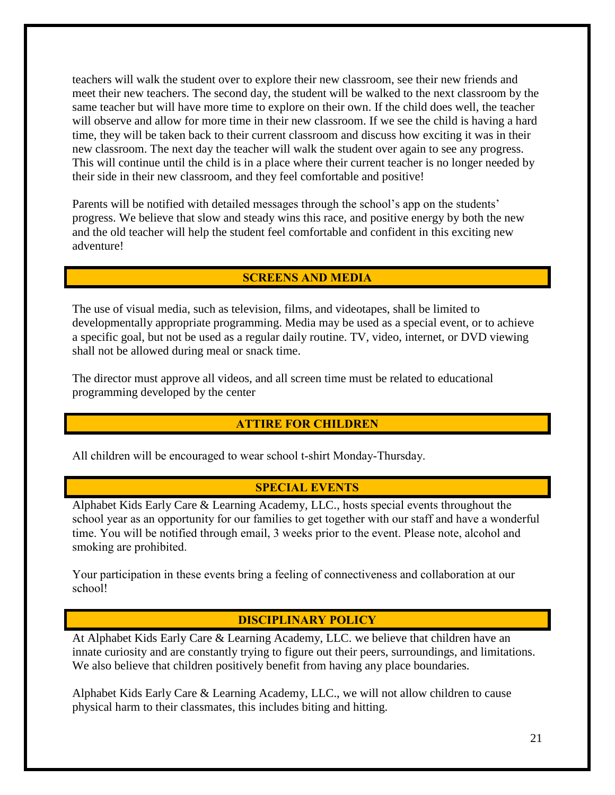teachers will walk the student over to explore their new classroom, see their new friends and meet their new teachers. The second day, the student will be walked to the next classroom by the same teacher but will have more time to explore on their own. If the child does well, the teacher will observe and allow for more time in their new classroom. If we see the child is having a hard time, they will be taken back to their current classroom and discuss how exciting it was in their new classroom. The next day the teacher will walk the student over again to see any progress. This will continue until the child is in a place where their current teacher is no longer needed by their side in their new classroom, and they feel comfortable and positive!

Parents will be notified with detailed messages through the school's app on the students' progress. We believe that slow and steady wins this race, and positive energy by both the new and the old teacher will help the student feel comfortable and confident in this exciting new adventure!

#### **SCREENS AND MEDIA**

The use of visual media, such as television, films, and videotapes, shall be limited to developmentally appropriate programming. Media may be used as a special event, or to achieve a specific goal, but not be used as a regular daily routine. TV, video, internet, or DVD viewing shall not be allowed during meal or snack time.

The director must approve all videos, and all screen time must be related to educational programming developed by the center

#### **ATTIRE FOR CHILDREN**

All children will be encouraged to wear school t-shirt Monday-Thursday.

#### **SPECIAL EVENTS**

Alphabet Kids Early Care & Learning Academy, LLC., hosts special events throughout the school year as an opportunity for our families to get together with our staff and have a wonderful time. You will be notified through email, 3 weeks prior to the event. Please note, alcohol and smoking are prohibited.

Your participation in these events bring a feeling of connectiveness and collaboration at our school!

#### **DISCIPLINARY POLICY**

At Alphabet Kids Early Care & Learning Academy, LLC. we believe that children have an innate curiosity and are constantly trying to figure out their peers, surroundings, and limitations. We also believe that children positively benefit from having any place boundaries.

Alphabet Kids Early Care & Learning Academy, LLC., we will not allow children to cause physical harm to their classmates, this includes biting and hitting.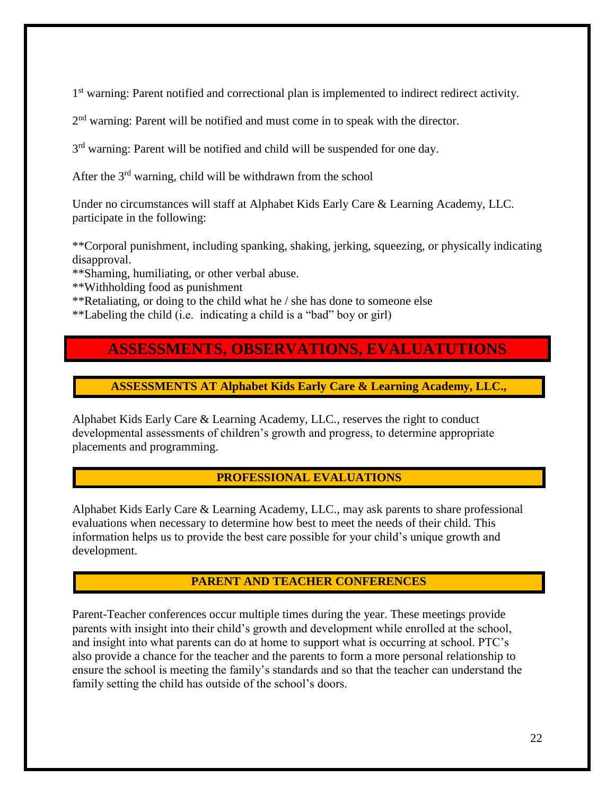1<sup>st</sup> warning: Parent notified and correctional plan is implemented to indirect redirect activity.

2<sup>nd</sup> warning: Parent will be notified and must come in to speak with the director.

3<sup>rd</sup> warning: Parent will be notified and child will be suspended for one day.

After the 3<sup>rd</sup> warning, child will be withdrawn from the school

Under no circumstances will staff at Alphabet Kids Early Care & Learning Academy, LLC. participate in the following:

\*\*Corporal punishment, including spanking, shaking, jerking, squeezing, or physically indicating disapproval.

\*\*Shaming, humiliating, or other verbal abuse.

\*\*Withholding food as punishment

\*\*Retaliating, or doing to the child what he / she has done to someone else

\*\*Labeling the child (i.e. indicating a child is a "bad" boy or girl)

# **ASSESSMENTS, OBSERVATIONS, EVALUATUTIONS**

**ASSESSMENTS AT Alphabet Kids Early Care & Learning Academy, LLC.,**

Alphabet Kids Early Care & Learning Academy, LLC., reserves the right to conduct developmental assessments of children's growth and progress, to determine appropriate placements and programming.

#### **PROFESSIONAL EVALUATIONS**

Alphabet Kids Early Care & Learning Academy, LLC., may ask parents to share professional evaluations when necessary to determine how best to meet the needs of their child. This information helps us to provide the best care possible for your child's unique growth and development.

#### **PARENT AND TEACHER CONFERENCES**

Parent-Teacher conferences occur multiple times during the year. These meetings provide parents with insight into their child's growth and development while enrolled at the school, and insight into what parents can do at home to support what is occurring at school. PTC's also provide a chance for the teacher and the parents to form a more personal relationship to ensure the school is meeting the family's standards and so that the teacher can understand the family setting the child has outside of the school's doors.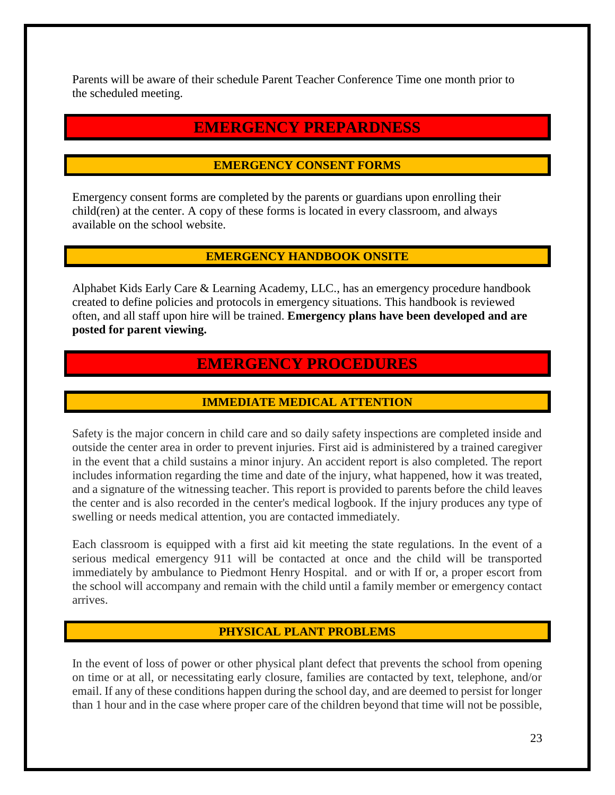Parents will be aware of their schedule Parent Teacher Conference Time one month prior to the scheduled meeting.

# **EMERGENCY PREPARDNESS**

#### **EMERGENCY CONSENT FORMS**

Emergency consent forms are completed by the parents or guardians upon enrolling their child(ren) at the center. A copy of these forms is located in every classroom, and always available on the school website.

#### **EMERGENCY HANDBOOK ONSITE**

Alphabet Kids Early Care & Learning Academy, LLC., has an emergency procedure handbook created to define policies and protocols in emergency situations. This handbook is reviewed often, and all staff upon hire will be trained. **Emergency plans have been developed and are posted for parent viewing.** 

# **EMERGENCY PROCEDURES**

# **IMMEDIATE MEDICAL ATTENTION**

Safety is the major concern in child care and so daily safety inspections are completed inside and outside the center area in order to prevent injuries. First aid is administered by a trained caregiver in the event that a child sustains a minor injury. An accident report is also completed. The report includes information regarding the time and date of the injury, what happened, how it was treated, and a signature of the witnessing teacher. This report is provided to parents before the child leaves the center and is also recorded in the center's medical logbook. If the injury produces any type of swelling or needs medical attention, you are contacted immediately.

Each classroom is equipped with a first aid kit meeting the state regulations. In the event of a serious medical emergency 911 will be contacted at once and the child will be transported immediately by ambulance to Piedmont Henry Hospital. and or with If or, a proper escort from the school will accompany and remain with the child until a family member or emergency contact arrives.

#### **PHYSICAL PLANT PROBLEMS**

In the event of loss of power or other physical plant defect that prevents the school from opening on time or at all, or necessitating early closure, families are contacted by text, telephone, and/or email. If any of these conditions happen during the school day, and are deemed to persist for longer than 1 hour and in the case where proper care of the children beyond that time will not be possible,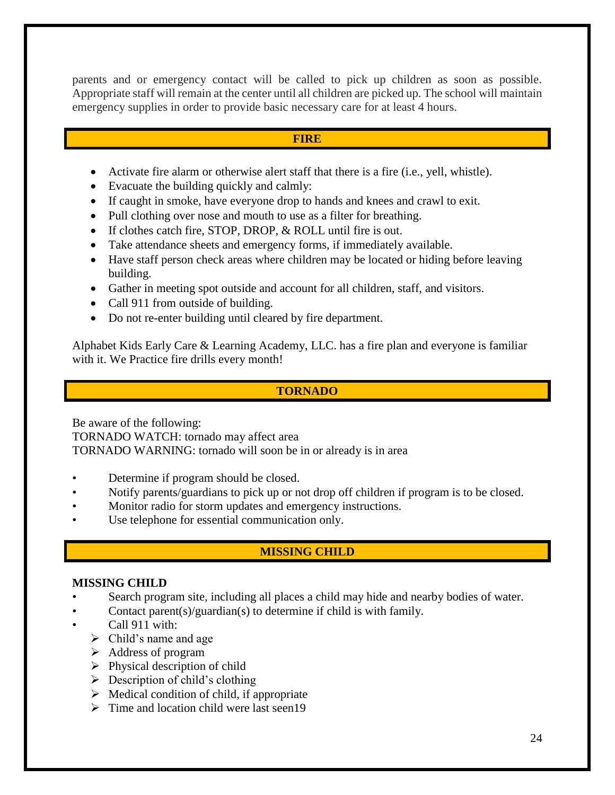parents and or emergency contact will be called to pick up children as soon as possible. Appropriate staff will remain at the center until all children are picked up. The school will maintain emergency supplies in order to provide basic necessary care for at least 4 hours.

#### **FIRE**

- Activate fire alarm or otherwise alert staff that there is a fire (i.e., yell, whistle).
- Evacuate the building quickly and calmly:
- If caught in smoke, have everyone drop to hands and knees and crawl to exit.
- Pull clothing over nose and mouth to use as a filter for breathing.
- If clothes catch fire, STOP, DROP, & ROLL until fire is out.
- Take attendance sheets and emergency forms, if immediately available.
- Have staff person check areas where children may be located or hiding before leaving building.
- Gather in meeting spot outside and account for all children, staff, and visitors.
- Call 911 from outside of building.
- Do not re-enter building until cleared by fire department.

Alphabet Kids Early Care & Learning Academy, LLC. has a fire plan and everyone is familiar with it. We Practice fire drills every month!

#### **TORNADO**

Be aware of the following:

TORNADO WATCH: tornado may affect area

TORNADO WARNING: tornado will soon be in or already is in area

- Determine if program should be closed.
- Notify parents/guardians to pick up or not drop off children if program is to be closed.
- Monitor radio for storm updates and emergency instructions.
- Use telephone for essential communication only.

# **MISSING CHILD**

#### **MISSING CHILD**

- Search program site, including all places a child may hide and nearby bodies of water.
- Contact parent(s)/guardian(s) to determine if child is with family.
- Call 911 with:
	- $\triangleright$  Child's name and age
	- ➢ Address of program
	- $\triangleright$  Physical description of child
	- $\triangleright$  Description of child's clothing
	- $\triangleright$  Medical condition of child, if appropriate
	- $\triangleright$  Time and location child were last seen 19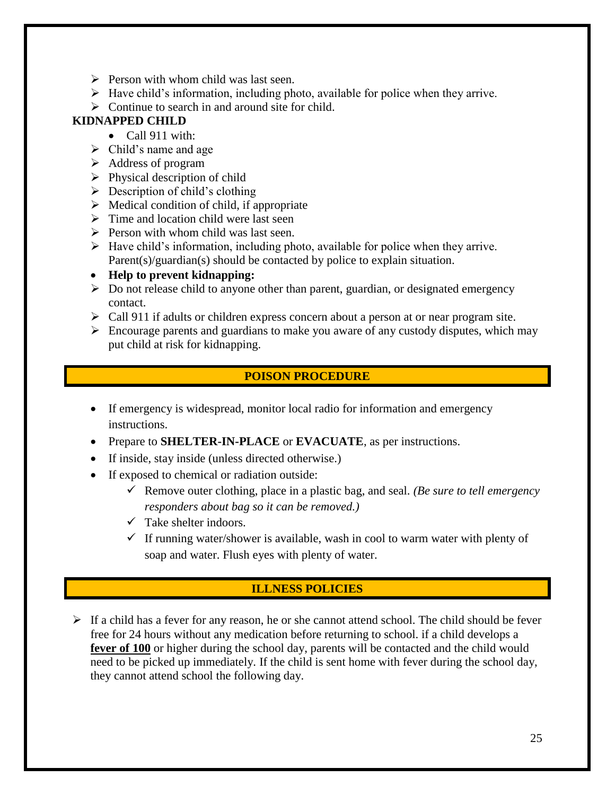- $\triangleright$  Person with whom child was last seen.
- $\triangleright$  Have child's information, including photo, available for police when they arrive.
- $\triangleright$  Continue to search in and around site for child.

# **KIDNAPPED CHILD**

- Call 911 with:
- $\triangleright$  Child's name and age
- ➢ Address of program
- $\triangleright$  Physical description of child
- $\triangleright$  Description of child's clothing
- $\triangleright$  Medical condition of child, if appropriate
- $\triangleright$  Time and location child were last seen
- $\triangleright$  Person with whom child was last seen.
- $\triangleright$  Have child's information, including photo, available for police when they arrive. Parent(s)/guardian(s) should be contacted by police to explain situation.
- **Help to prevent kidnapping:**
- $\triangleright$  Do not release child to anyone other than parent, guardian, or designated emergency contact.
- $\triangleright$  Call 911 if adults or children express concern about a person at or near program site.
- $\triangleright$  Encourage parents and guardians to make you aware of any custody disputes, which may put child at risk for kidnapping.

# **POISON PROCEDURE**

- If emergency is widespread, monitor local radio for information and emergency instructions.
- Prepare to **SHELTER-IN-PLACE** or **EVACUATE**, as per instructions.
- If inside, stay inside (unless directed otherwise.)
- If exposed to chemical or radiation outside:
	- ✓ Remove outer clothing, place in a plastic bag, and seal. *(Be sure to tell emergency responders about bag so it can be removed.)*
	- $\checkmark$  Take shelter indoors.
	- $\checkmark$  If running water/shower is available, wash in cool to warm water with plenty of soap and water. Flush eyes with plenty of water.

# **ILLNESS POLICIES**

 $\triangleright$  If a child has a fever for any reason, he or she cannot attend school. The child should be fever free for 24 hours without any medication before returning to school. if a child develops a fever of 100 or higher during the school day, parents will be contacted and the child would need to be picked up immediately. If the child is sent home with fever during the school day, they cannot attend school the following day.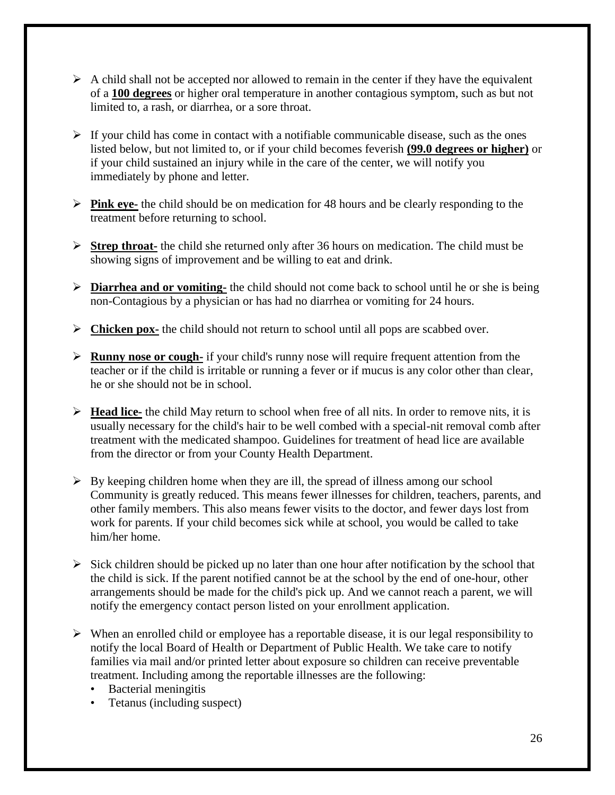- $\triangleright$  A child shall not be accepted nor allowed to remain in the center if they have the equivalent of a **100 degrees** or higher oral temperature in another contagious symptom, such as but not limited to, a rash, or diarrhea, or a sore throat.
- $\triangleright$  If your child has come in contact with a notifiable communicable disease, such as the ones listed below, but not limited to, or if your child becomes feverish **(99.0 degrees or higher)** or if your child sustained an injury while in the care of the center, we will notify you immediately by phone and letter.
- ➢ **Pink eye-** the child should be on medication for 48 hours and be clearly responding to the treatment before returning to school.
- ➢ **Strep throat-** the child she returned only after 36 hours on medication. The child must be showing signs of improvement and be willing to eat and drink.
- ➢ **Diarrhea and or vomiting-** the child should not come back to school until he or she is being non-Contagious by a physician or has had no diarrhea or vomiting for 24 hours.
- ➢ **Chicken pox-** the child should not return to school until all pops are scabbed over.
- ➢ **Runny nose or cough-** if your child's runny nose will require frequent attention from the teacher or if the child is irritable or running a fever or if mucus is any color other than clear, he or she should not be in school.
- ➢ **Head lice-** the child May return to school when free of all nits. In order to remove nits, it is usually necessary for the child's hair to be well combed with a special-nit removal comb after treatment with the medicated shampoo. Guidelines for treatment of head lice are available from the director or from your County Health Department.
- $\triangleright$  By keeping children home when they are ill, the spread of illness among our school Community is greatly reduced. This means fewer illnesses for children, teachers, parents, and other family members. This also means fewer visits to the doctor, and fewer days lost from work for parents. If your child becomes sick while at school, you would be called to take him/her home.
- $\triangleright$  Sick children should be picked up no later than one hour after notification by the school that the child is sick. If the parent notified cannot be at the school by the end of one-hour, other arrangements should be made for the child's pick up. And we cannot reach a parent, we will notify the emergency contact person listed on your enrollment application.
- ➢ When an enrolled child or employee has a reportable disease, it is our legal responsibility to notify the local Board of Health or Department of Public Health. We take care to notify families via mail and/or printed letter about exposure so children can receive preventable treatment. Including among the reportable illnesses are the following:
	- Bacterial meningitis
	- Tetanus (including suspect)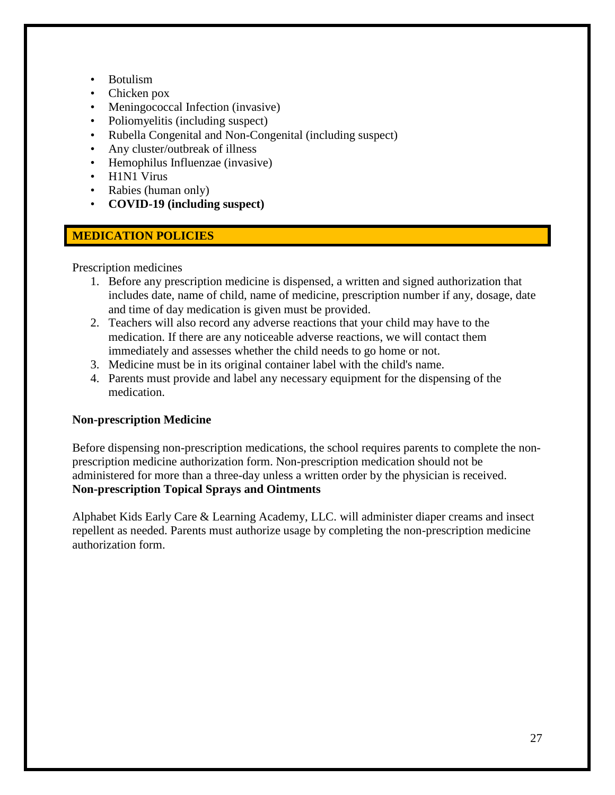- Botulism
- Chicken pox
- Meningococcal Infection (invasive)
- Poliomyelitis (including suspect)
- Rubella Congenital and Non-Congenital (including suspect)
- Any cluster/outbreak of illness
- Hemophilus Influenzae (invasive)
- H1N1 Virus
- Rabies (human only)
- **COVID-19 (including suspect)**

# **MEDICATION POLICIES**

Prescription medicines

- 1. Before any prescription medicine is dispensed, a written and signed authorization that includes date, name of child, name of medicine, prescription number if any, dosage, date and time of day medication is given must be provided.
- 2. Teachers will also record any adverse reactions that your child may have to the medication. If there are any noticeable adverse reactions, we will contact them immediately and assesses whether the child needs to go home or not.
- 3. Medicine must be in its original container label with the child's name.
- 4. Parents must provide and label any necessary equipment for the dispensing of the medication.

#### **Non-prescription Medicine**

Before dispensing non-prescription medications, the school requires parents to complete the nonprescription medicine authorization form. Non-prescription medication should not be administered for more than a three-day unless a written order by the physician is received. **Non-prescription Topical Sprays and Ointments**

Alphabet Kids Early Care & Learning Academy, LLC. will administer diaper creams and insect repellent as needed. Parents must authorize usage by completing the non-prescription medicine authorization form.